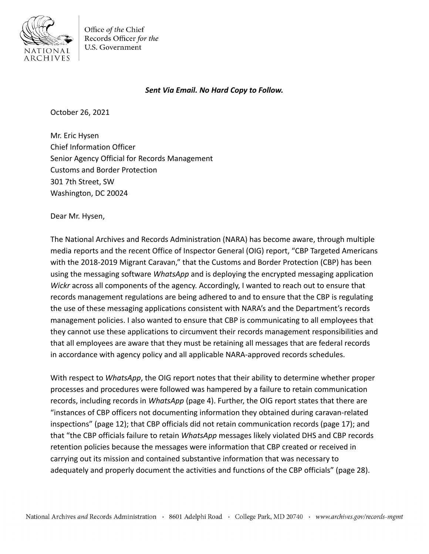

Office of the Chief Records Officer for the U.S. Government

## *Sent Via Email. No Hard Copy to Follow.*

October 26, 2021

Mr. Eric Hysen Chief Information Officer Senior Agency Official for Records Management Customs and Border Protection 301 7th Street, SW Washington, DC 20024

Dear Mr. Hysen,

The National Archives and Records Administration (NARA) has become aware, through multiple media reports and the recent Office of Inspector General (OIG) report, "CBP Targeted Americans with the 2018-2019 Migrant Caravan," that the Customs and Border Protection (CBP) has been using the messaging software *WhatsApp* and is deploying the encrypted messaging application *Wickr* across all components of the agency. Accordingly, I wanted to reach out to ensure that records management regulations are being adhered to and to ensure that the CBP is regulating the use of these messaging applications consistent with NARA's and the Department's records management policies. I also wanted to ensure that CBP is communicating to all employees that they cannot use these applications to circumvent their records management responsibilities and that all employees are aware that they must be retaining all messages that are federal records in accordance with agency policy and all applicable NARA-approved records schedules.

With respect to *WhatsApp*, the OIG report notes that their ability to determine whether proper processes and procedures were followed was hampered by a failure to retain communication records, including records in *WhatsApp* (page 4). Further, the OIG report states that there are "instances of CBP officers not documenting information they obtained during caravan-related inspections" (page 12); that CBP officials did not retain communication records (page 17); and that "the CBP officials failure to retain *WhatsApp* messages likely violated DHS and CBP records retention policies because the messages were information that CBP created or received in carrying out its mission and contained substantive information that was necessary to adequately and properly document the activities and functions of the CBP officials" (page 28).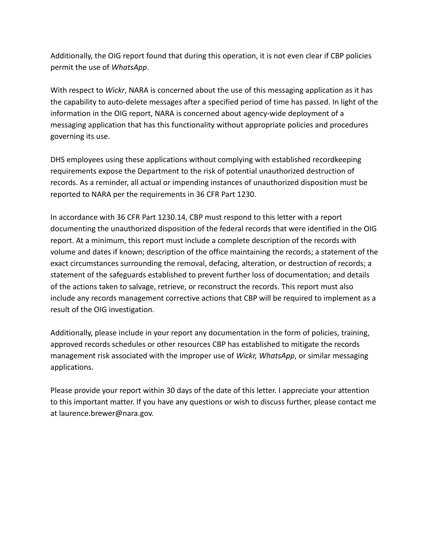Additionally, the OIG report found that during this operation, it is not even clear if CBP policies permit the use of *WhatsApp*.

With respect to *Wickr*, NARA is concerned about the use of this messaging application as it has the capability to auto-delete messages after a specified period of time has passed. In light of the information in the OIG report, NARA is concerned about agency-wide deployment of a messaging application that has this functionality without appropriate policies and procedures governing its use.

DHS employees using these applications without complying with established recordkeeping requirements expose the Department to the risk of potential unauthorized destruction of records. As a reminder, all actual or impending instances of unauthorized disposition must be reported to NARA per the requirements in 36 CFR Part 1230.

In accordance with 36 CFR Part 1230.14, CBP must respond to this letter with a report documenting the unauthorized disposition of the federal records that were identified in the OIG report. At a minimum, this report must include a complete description of the records with volume and dates if known; description of the office maintaining the records; a statement of the exact circumstances surrounding the removal, defacing, alteration, or destruction of records; a statement of the safeguards established to prevent further loss of documentation; and details of the actions taken to salvage, retrieve, or reconstruct the records. This report must also include any records management corrective actions that CBP will be required to implement as a result of the OIG investigation.

Additionally, please include in your report any documentation in the form of policies, training, approved records schedules or other resources CBP has established to mitigate the records management risk associated with the improper use of *Wickr, WhatsApp*, or similar messaging applications.

Please provide your report within 30 days of the date of this letter. I appreciate your attention to this important matter. If you have any questions or wish to discuss further, please contact me at [laurence.brewer@nara.gov.](mailto:laurence.brewer@nara.gov)